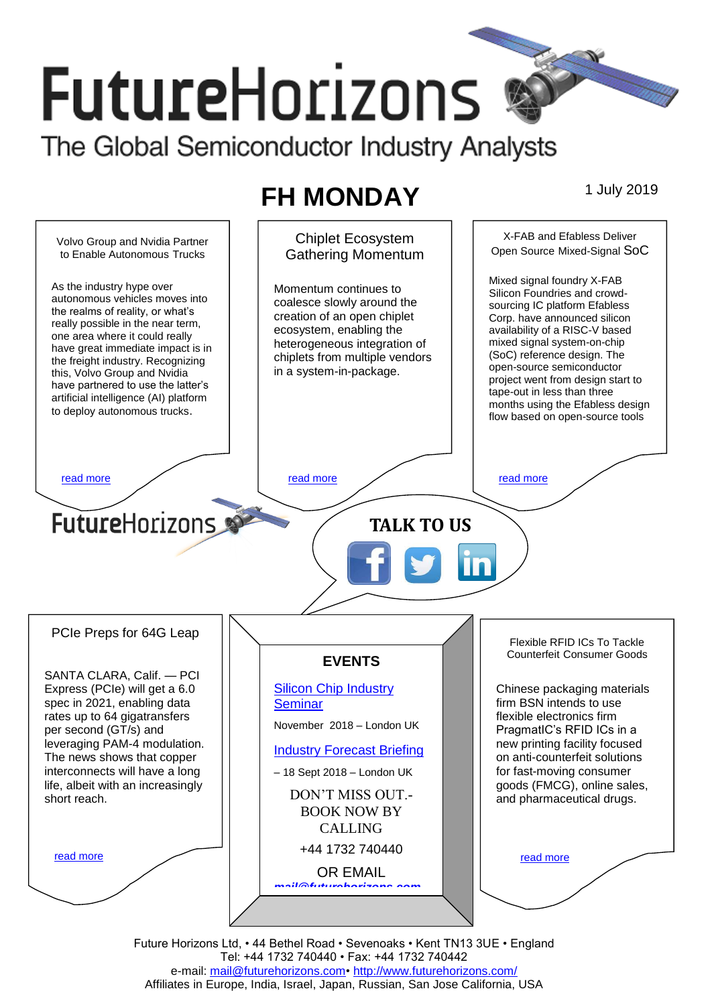# **FutureHorizons** The Global Semiconductor Industry Analysts

# **FH MONDAY** 1 July 2019



Future Horizons Ltd, • 44 Bethel Road • Sevenoaks • Kent TN13 3UE • England Tel: +44 1732 740440 • Fax: +44 1732 740442 e-mail: [mail@futurehorizons.com•](FH%20Monday%20-%202017/mail@futurehorizons.com)<http://www.futurehorizons.com/> Affiliates in Europe, India, Israel, Japan, Russian, San Jose California, USA